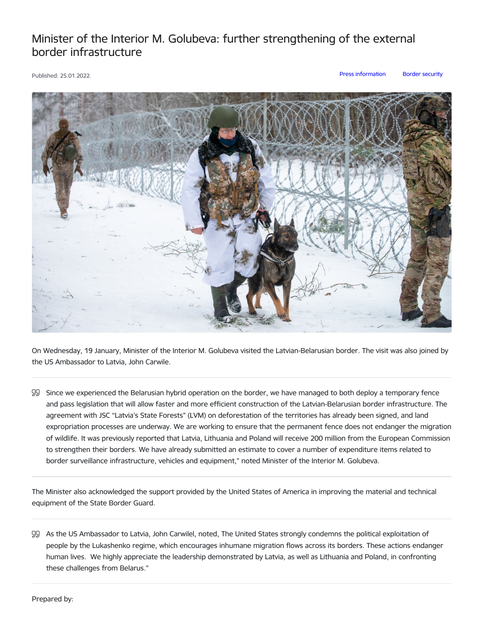## Minister of the Interior M. Golubeva: further strengthening of the external border infrastructure

Published: 25.01.2022. Press [information](https://www.iem.gov.lv/en/articles?category%255B88%255D=88) Border [security](https://www.iem.gov.lv/en/articles?category%255B657%255D=657)



On Wednesday, 19 January, Minister of the Interior M. Golubeva visited the Latvian-Belarusian border. The visit was also joined by the US Ambassador to Latvia, John Carwile.

Since we experienced the Belarusian hybrid operation on the border, we have managed to both deploy a temporary fence and pass legislation that will allow faster and more efficient construction of the Latvian-Belarusian border infrastructure. The agreement with JSC "Latvia's State Forests" (LVM) on deforestation of the territories has already been signed, and land expropriation processes are underway. We are working to ensure that the permanent fence does not endanger the migration of wildlife. It was previously reported that Latvia, Lithuania and Poland will receive 200 million from the European Commission to strengthen their borders. We have already submitted an estimate to cover a number of expenditure items related to border surveillance infrastructure, vehicles and equipment," noted Minister of the Interior M. Golubeva.

The Minister also acknowledged the support provided by the United States of America in improving the material and technical equipment of the State Border Guard.

As the US Ambassador to Latvia, John Carwilel, noted, The United States strongly condemns the political exploitation of people by the Lukashenko regime, which encourages inhumane migration flows across its borders. These actions endanger human lives. We highly appreciate the leadership demonstrated by Latvia, as well as Lithuania and Poland, in confronting these challenges from Belarus."